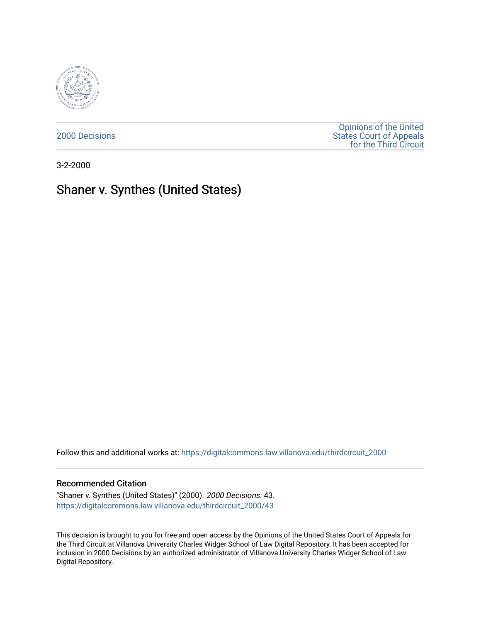

[2000 Decisions](https://digitalcommons.law.villanova.edu/thirdcircuit_2000)

[Opinions of the United](https://digitalcommons.law.villanova.edu/thirdcircuit)  [States Court of Appeals](https://digitalcommons.law.villanova.edu/thirdcircuit)  [for the Third Circuit](https://digitalcommons.law.villanova.edu/thirdcircuit) 

3-2-2000

# Shaner v. Synthes (United States)

Follow this and additional works at: [https://digitalcommons.law.villanova.edu/thirdcircuit\\_2000](https://digitalcommons.law.villanova.edu/thirdcircuit_2000?utm_source=digitalcommons.law.villanova.edu%2Fthirdcircuit_2000%2F43&utm_medium=PDF&utm_campaign=PDFCoverPages) 

# Recommended Citation

"Shaner v. Synthes (United States)" (2000). 2000 Decisions. 43. [https://digitalcommons.law.villanova.edu/thirdcircuit\\_2000/43](https://digitalcommons.law.villanova.edu/thirdcircuit_2000/43?utm_source=digitalcommons.law.villanova.edu%2Fthirdcircuit_2000%2F43&utm_medium=PDF&utm_campaign=PDFCoverPages)

This decision is brought to you for free and open access by the Opinions of the United States Court of Appeals for the Third Circuit at Villanova University Charles Widger School of Law Digital Repository. It has been accepted for inclusion in 2000 Decisions by an authorized administrator of Villanova University Charles Widger School of Law Digital Repository.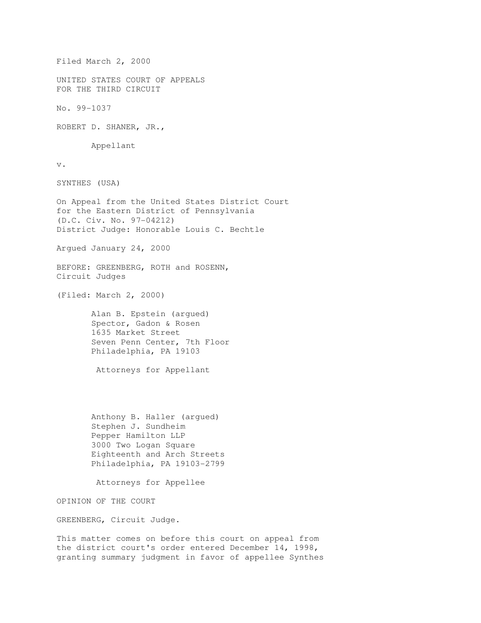Filed March 2, 2000 UNITED STATES COURT OF APPEALS FOR THE THIRD CIRCUIT No. 99-1037 ROBERT D. SHANER, JR., Appellant v. SYNTHES (USA) On Appeal from the United States District Court for the Eastern District of Pennsylvania (D.C. Civ. No. 97-04212) District Judge: Honorable Louis C. Bechtle Argued January 24, 2000 BEFORE: GREENBERG, ROTH and ROSENN, Circuit Judges (Filed: March 2, 2000) Alan B. Epstein (argued) Spector, Gadon & Rosen 1635 Market Street Seven Penn Center, 7th Floor Philadelphia, PA 19103 Attorneys for Appellant Anthony B. Haller (argued) Stephen J. Sundheim Pepper Hamilton LLP 3000 Two Logan Square Eighteenth and Arch Streets Philadelphia, PA 19103-2799 Attorneys for Appellee OPINION OF THE COURT GREENBERG, Circuit Judge. This matter comes on before this court on appeal from the district court's order entered December 14, 1998, granting summary judgment in favor of appellee Synthes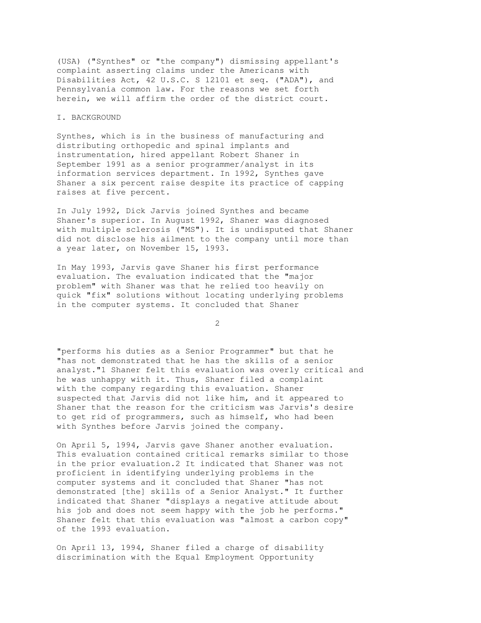(USA) ("Synthes" or "the company") dismissing appellant's complaint asserting claims under the Americans with Disabilities Act, 42 U.S.C. S 12101 et seq. ("ADA"), and Pennsylvania common law. For the reasons we set forth herein, we will affirm the order of the district court.

# I. BACKGROUND

Synthes, which is in the business of manufacturing and distributing orthopedic and spinal implants and instrumentation, hired appellant Robert Shaner in September 1991 as a senior programmer/analyst in its information services department. In 1992, Synthes gave Shaner a six percent raise despite its practice of capping raises at five percent.

In July 1992, Dick Jarvis joined Synthes and became Shaner's superior. In August 1992, Shaner was diagnosed with multiple sclerosis ("MS"). It is undisputed that Shaner did not disclose his ailment to the company until more than a year later, on November 15, 1993.

In May 1993, Jarvis gave Shaner his first performance evaluation. The evaluation indicated that the "major problem" with Shaner was that he relied too heavily on quick "fix" solutions without locating underlying problems in the computer systems. It concluded that Shaner

2

"performs his duties as a Senior Programmer" but that he "has not demonstrated that he has the skills of a senior analyst."1 Shaner felt this evaluation was overly critical and he was unhappy with it. Thus, Shaner filed a complaint with the company regarding this evaluation. Shaner suspected that Jarvis did not like him, and it appeared to Shaner that the reason for the criticism was Jarvis's desire to get rid of programmers, such as himself, who had been with Synthes before Jarvis joined the company.

On April 5, 1994, Jarvis gave Shaner another evaluation. This evaluation contained critical remarks similar to those in the prior evaluation.2 It indicated that Shaner was not proficient in identifying underlying problems in the computer systems and it concluded that Shaner "has not demonstrated [the] skills of a Senior Analyst." It further indicated that Shaner "displays a negative attitude about his job and does not seem happy with the job he performs." Shaner felt that this evaluation was "almost a carbon copy" of the 1993 evaluation.

On April 13, 1994, Shaner filed a charge of disability discrimination with the Equal Employment Opportunity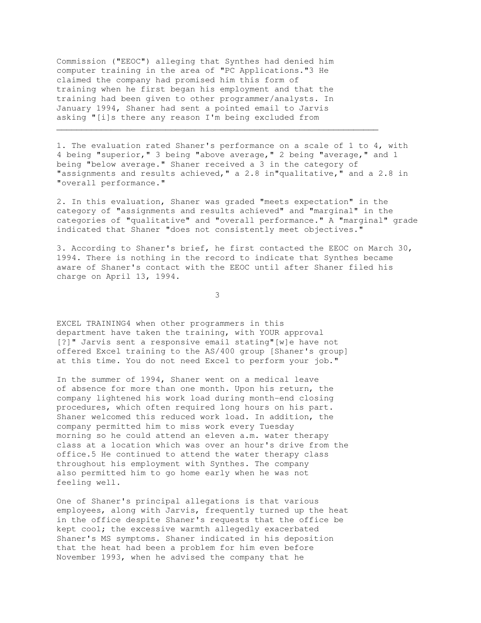Commission ("EEOC") alleging that Synthes had denied him computer training in the area of "PC Applications."3 He claimed the company had promised him this form of training when he first began his employment and that the training had been given to other programmer/analysts. In January 1994, Shaner had sent a pointed email to Jarvis asking "[i]s there any reason I'm being excluded from

1. The evaluation rated Shaner's performance on a scale of 1 to 4, with 4 being "superior," 3 being "above average," 2 being "average," and 1 being "below average." Shaner received a 3 in the category of "assignments and results achieved," a 2.8 in"qualitative," and a 2.8 in "overall performance."

 $\mathcal{L}_\mathcal{L}$  , and the contribution of the contribution of the contribution of the contribution of the contribution of the contribution of the contribution of the contribution of the contribution of the contribution of

2. In this evaluation, Shaner was graded "meets expectation" in the category of "assignments and results achieved" and "marginal" in the categories of "qualitative" and "overall performance." A "marginal" grade indicated that Shaner "does not consistently meet objectives."

3. According to Shaner's brief, he first contacted the EEOC on March 30, 1994. There is nothing in the record to indicate that Synthes became aware of Shaner's contact with the EEOC until after Shaner filed his charge on April 13, 1994.

3

EXCEL TRAINING4 when other programmers in this department have taken the training, with YOUR approval [?]" Jarvis sent a responsive email stating"[w]e have not offered Excel training to the AS/400 group [Shaner's group] at this time. You do not need Excel to perform your job."

In the summer of 1994, Shaner went on a medical leave of absence for more than one month. Upon his return, the company lightened his work load during month-end closing procedures, which often required long hours on his part. Shaner welcomed this reduced work load. In addition, the company permitted him to miss work every Tuesday morning so he could attend an eleven a.m. water therapy class at a location which was over an hour's drive from the office.5 He continued to attend the water therapy class throughout his employment with Synthes. The company also permitted him to go home early when he was not feeling well.

One of Shaner's principal allegations is that various employees, along with Jarvis, frequently turned up the heat in the office despite Shaner's requests that the office be kept cool; the excessive warmth allegedly exacerbated Shaner's MS symptoms. Shaner indicated in his deposition that the heat had been a problem for him even before November 1993, when he advised the company that he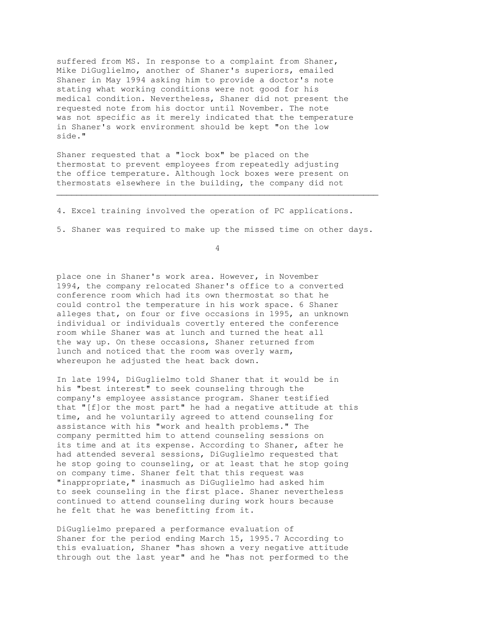suffered from MS. In response to a complaint from Shaner, Mike DiGuglielmo, another of Shaner's superiors, emailed Shaner in May 1994 asking him to provide a doctor's note stating what working conditions were not good for his medical condition. Nevertheless, Shaner did not present the requested note from his doctor until November. The note was not specific as it merely indicated that the temperature in Shaner's work environment should be kept "on the low side."

Shaner requested that a "lock box" be placed on the thermostat to prevent employees from repeatedly adjusting the office temperature. Although lock boxes were present on thermostats elsewhere in the building, the company did not

4. Excel training involved the operation of PC applications.

5. Shaner was required to make up the missed time on other days.

 $\mathcal{L}_\mathcal{L}$  , and the set of the set of the set of the set of the set of the set of the set of the set of the set of the set of the set of the set of the set of the set of the set of the set of the set of the set of th

4

place one in Shaner's work area. However, in November 1994, the company relocated Shaner's office to a converted conference room which had its own thermostat so that he could control the temperature in his work space. 6 Shaner alleges that, on four or five occasions in 1995, an unknown individual or individuals covertly entered the conference room while Shaner was at lunch and turned the heat all the way up. On these occasions, Shaner returned from lunch and noticed that the room was overly warm, whereupon he adjusted the heat back down.

In late 1994, DiGuglielmo told Shaner that it would be in his "best interest" to seek counseling through the company's employee assistance program. Shaner testified that "[f]or the most part" he had a negative attitude at this time, and he voluntarily agreed to attend counseling for assistance with his "work and health problems." The company permitted him to attend counseling sessions on its time and at its expense. According to Shaner, after he had attended several sessions, DiGuglielmo requested that he stop going to counseling, or at least that he stop going on company time. Shaner felt that this request was "inappropriate," inasmuch as DiGuglielmo had asked him to seek counseling in the first place. Shaner nevertheless continued to attend counseling during work hours because he felt that he was benefitting from it.

DiGuglielmo prepared a performance evaluation of Shaner for the period ending March 15, 1995.7 According to this evaluation, Shaner "has shown a very negative attitude through out the last year" and he "has not performed to the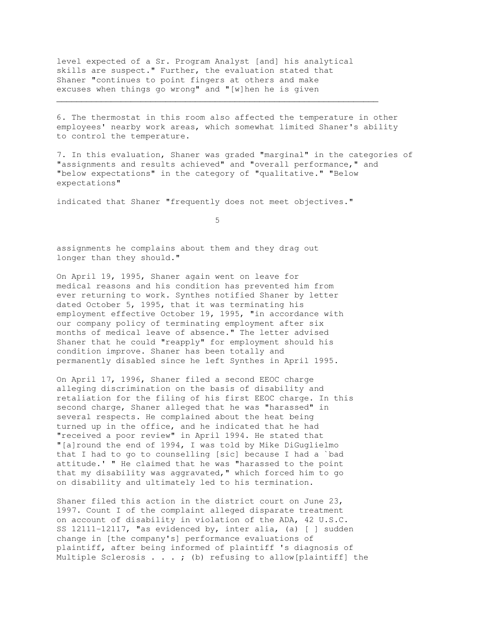level expected of a Sr. Program Analyst [and] his analytical skills are suspect." Further, the evaluation stated that Shaner "continues to point fingers at others and make excuses when things go wrong" and "[w]hen he is given

6. The thermostat in this room also affected the temperature in other employees' nearby work areas, which somewhat limited Shaner's ability to control the temperature.

 $\mathcal{L}_\mathcal{L} = \{ \mathcal{L}_\mathcal{L} = \{ \mathcal{L}_\mathcal{L} = \{ \mathcal{L}_\mathcal{L} = \{ \mathcal{L}_\mathcal{L} = \{ \mathcal{L}_\mathcal{L} = \{ \mathcal{L}_\mathcal{L} = \{ \mathcal{L}_\mathcal{L} = \{ \mathcal{L}_\mathcal{L} = \{ \mathcal{L}_\mathcal{L} = \{ \mathcal{L}_\mathcal{L} = \{ \mathcal{L}_\mathcal{L} = \{ \mathcal{L}_\mathcal{L} = \{ \mathcal{L}_\mathcal{L} = \{ \mathcal{L}_\mathcal{$ 

7. In this evaluation, Shaner was graded "marginal" in the categories of "assignments and results achieved" and "overall performance," and "below expectations" in the category of "qualitative." "Below expectations"

indicated that Shaner "frequently does not meet objectives."

 $\sim$  5  $\sim$  5  $\sim$  5  $\sim$  5  $\sim$  5  $\sim$  5  $\sim$  5  $\sim$  5  $\sim$  5  $\sim$  5  $\sim$  5  $\sim$  5  $\sim$  5  $\sim$  5  $\sim$  5  $\sim$  5  $\sim$  5  $\sim$  5  $\sim$  5  $\sim$  5  $\sim$  5  $\sim$  5  $\sim$  5  $\sim$  5  $\sim$  5  $\sim$  5  $\sim$  5  $\sim$  5  $\sim$  5  $\sim$  5  $\sim$  5  $\sim$ 

assignments he complains about them and they drag out longer than they should."

On April 19, 1995, Shaner again went on leave for medical reasons and his condition has prevented him from ever returning to work. Synthes notified Shaner by letter dated October 5, 1995, that it was terminating his employment effective October 19, 1995, "in accordance with our company policy of terminating employment after six months of medical leave of absence." The letter advised Shaner that he could "reapply" for employment should his condition improve. Shaner has been totally and permanently disabled since he left Synthes in April 1995.

On April 17, 1996, Shaner filed a second EEOC charge alleging discrimination on the basis of disability and retaliation for the filing of his first EEOC charge. In this second charge, Shaner alleged that he was "harassed" in several respects. He complained about the heat being turned up in the office, and he indicated that he had "received a poor review" in April 1994. He stated that "[a]round the end of 1994, I was told by Mike DiGuglielmo that I had to go to counselling [sic] because I had a `bad attitude.' " He claimed that he was "harassed to the point that my disability was aggravated," which forced him to go on disability and ultimately led to his termination.

Shaner filed this action in the district court on June 23, 1997. Count I of the complaint alleged disparate treatment on account of disability in violation of the ADA, 42 U.S.C. SS 12111-12117, "as evidenced by, inter alia, (a) [ ] sudden change in [the company's] performance evaluations of plaintiff, after being informed of plaintiff 's diagnosis of Multiple Sclerosis  $\ldots$  ; (b) refusing to allow[plaintiff] the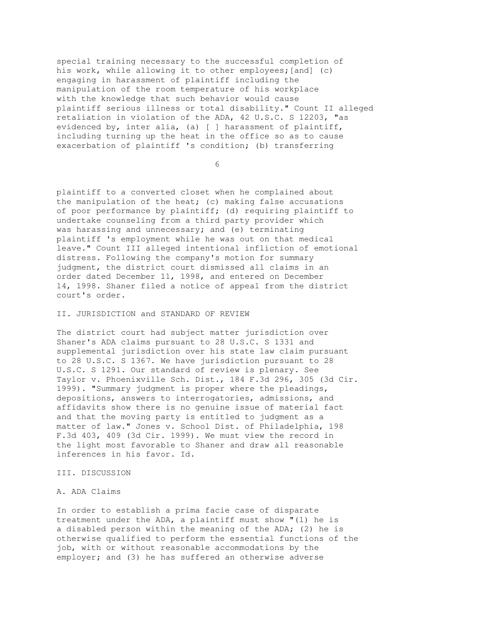special training necessary to the successful completion of his work, while allowing it to other employees; [and] (c) engaging in harassment of plaintiff including the manipulation of the room temperature of his workplace with the knowledge that such behavior would cause plaintiff serious illness or total disability." Count II alleged retaliation in violation of the ADA, 42 U.S.C. S 12203, "as evidenced by, inter alia, (a) [ ] harassment of plaintiff, including turning up the heat in the office so as to cause exacerbation of plaintiff 's condition; (b) transferring

 $\overline{6}$ 

plaintiff to a converted closet when he complained about the manipulation of the heat; (c) making false accusations of poor performance by plaintiff; (d) requiring plaintiff to undertake counseling from a third party provider which was harassing and unnecessary; and (e) terminating plaintiff 's employment while he was out on that medical leave." Count III alleged intentional infliction of emotional distress. Following the company's motion for summary judgment, the district court dismissed all claims in an order dated December 11, 1998, and entered on December 14, 1998. Shaner filed a notice of appeal from the district court's order.

### II. JURISDICTION and STANDARD OF REVIEW

The district court had subject matter jurisdiction over Shaner's ADA claims pursuant to 28 U.S.C. S 1331 and supplemental jurisdiction over his state law claim pursuant to 28 U.S.C. S 1367. We have jurisdiction pursuant to 28 U.S.C. S 1291. Our standard of review is plenary. See Taylor v. Phoenixville Sch. Dist., 184 F.3d 296, 305 (3d Cir. 1999). "Summary judgment is proper where the pleadings, depositions, answers to interrogatories, admissions, and affidavits show there is no genuine issue of material fact and that the moving party is entitled to judgment as a matter of law." Jones v. School Dist. of Philadelphia, 198 F.3d 403, 409 (3d Cir. 1999). We must view the record in the light most favorable to Shaner and draw all reasonable inferences in his favor. Id.

#### III. DISCUSSION

#### A. ADA Claims

In order to establish a prima facie case of disparate treatment under the ADA, a plaintiff must show "(1) he is a disabled person within the meaning of the ADA; (2) he is otherwise qualified to perform the essential functions of the job, with or without reasonable accommodations by the employer; and (3) he has suffered an otherwise adverse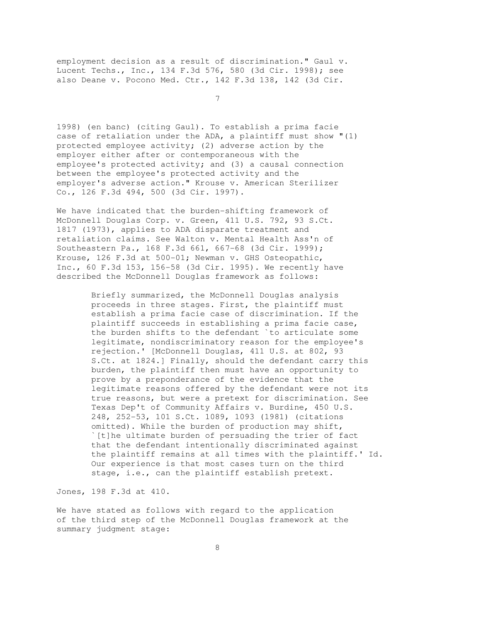employment decision as a result of discrimination." Gaul v. Lucent Techs., Inc., 134 F.3d 576, 580 (3d Cir. 1998); see also Deane v. Pocono Med. Ctr., 142 F.3d 138, 142 (3d Cir.

7

1998) (en banc) (citing Gaul). To establish a prima facie case of retaliation under the ADA, a plaintiff must show "(1) protected employee activity; (2) adverse action by the employer either after or contemporaneous with the employee's protected activity; and (3) a causal connection between the employee's protected activity and the employer's adverse action." Krouse v. American Sterilizer Co., 126 F.3d 494, 500 (3d Cir. 1997).

We have indicated that the burden-shifting framework of McDonnell Douglas Corp. v. Green, 411 U.S. 792, 93 S.Ct. 1817 (1973), applies to ADA disparate treatment and retaliation claims. See Walton v. Mental Health Ass'n of Southeastern Pa., 168 F.3d 661, 667-68 (3d Cir. 1999); Krouse, 126 F.3d at 500-01; Newman v. GHS Osteopathic, Inc., 60 F.3d 153, 156-58 (3d Cir. 1995). We recently have described the McDonnell Douglas framework as follows:

> Briefly summarized, the McDonnell Douglas analysis proceeds in three stages. First, the plaintiff must establish a prima facie case of discrimination. If the plaintiff succeeds in establishing a prima facie case, the burden shifts to the defendant `to articulate some legitimate, nondiscriminatory reason for the employee's rejection.' [McDonnell Douglas, 411 U.S. at 802, 93 S.Ct. at 1824.] Finally, should the defendant carry this burden, the plaintiff then must have an opportunity to prove by a preponderance of the evidence that the legitimate reasons offered by the defendant were not its true reasons, but were a pretext for discrimination. See Texas Dep't of Community Affairs v. Burdine, 450 U.S. 248, 252-53, 101 S.Ct. 1089, 1093 (1981) (citations omitted). While the burden of production may shift, `[t]he ultimate burden of persuading the trier of fact that the defendant intentionally discriminated against the plaintiff remains at all times with the plaintiff.' Id. Our experience is that most cases turn on the third stage, i.e., can the plaintiff establish pretext.

Jones, 198 F.3d at 410.

We have stated as follows with regard to the application of the third step of the McDonnell Douglas framework at the summary judgment stage: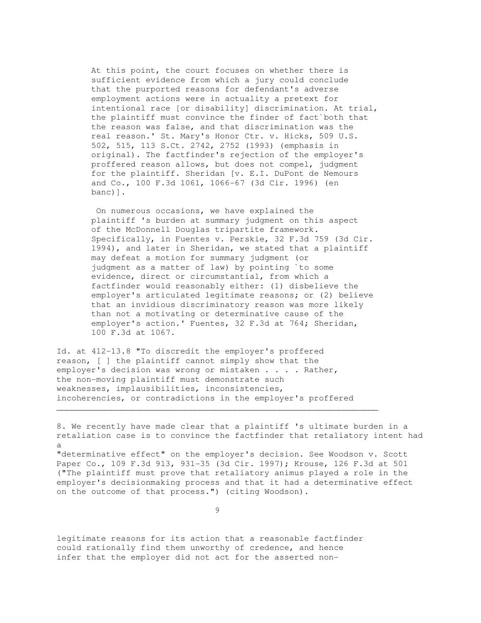At this point, the court focuses on whether there is sufficient evidence from which a jury could conclude that the purported reasons for defendant's adverse employment actions were in actuality a pretext for intentional race [or disability] discrimination. At trial, the plaintiff must convince the finder of fact`both that the reason was false, and that discrimination was the real reason.' St. Mary's Honor Ctr. v. Hicks, 509 U.S. 502, 515, 113 S.Ct. 2742, 2752 (1993) (emphasis in original). The factfinder's rejection of the employer's proffered reason allows, but does not compel, judgment for the plaintiff. Sheridan [v. E.I. DuPont de Nemours and Co., 100 F.3d 1061, 1066-67 (3d Cir. 1996) (en banc)].

 On numerous occasions, we have explained the plaintiff 's burden at summary judgment on this aspect of the McDonnell Douglas tripartite framework. Specifically, in Fuentes v. Perskie, 32 F.3d 759 (3d Cir. 1994), and later in Sheridan, we stated that a plaintiff may defeat a motion for summary judgment (or judgment as a matter of law) by pointing `to some evidence, direct or circumstantial, from which a factfinder would reasonably either: (1) disbelieve the employer's articulated legitimate reasons; or (2) believe that an invidious discriminatory reason was more likely than not a motivating or determinative cause of the employer's action.' Fuentes, 32 F.3d at 764; Sheridan, 100 F.3d at 1067.

Id. at 412-13.8 "To discredit the employer's proffered reason, [ ] the plaintiff cannot simply show that the employer's decision was wrong or mistaken . . . . Rather, the non-moving plaintiff must demonstrate such weaknesses, implausibilities, inconsistencies, incoherencies, or contradictions in the employer's proffered

 $\mathcal{L}_\mathcal{L}$  , and the set of the set of the set of the set of the set of the set of the set of the set of the set of the set of the set of the set of the set of the set of the set of the set of the set of the set of th

8. We recently have made clear that a plaintiff 's ultimate burden in a retaliation case is to convince the factfinder that retaliatory intent had a

"determinative effect" on the employer's decision. See Woodson v. Scott Paper Co., 109 F.3d 913, 931-35 (3d Cir. 1997); Krouse, 126 F.3d at 501 ("The plaintiff must prove that retaliatory animus played a role in the employer's decisionmaking process and that it had a determinative effect on the outcome of that process.") (citing Woodson).

9

legitimate reasons for its action that a reasonable factfinder could rationally find them unworthy of credence, and hence infer that the employer did not act for the asserted non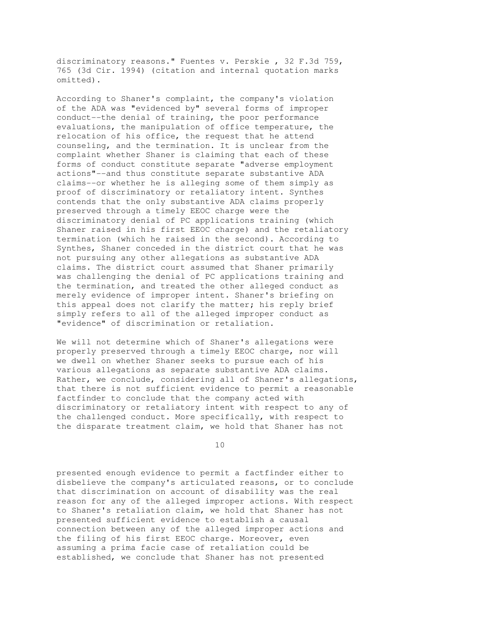discriminatory reasons." Fuentes v. Perskie , 32 F.3d 759, 765 (3d Cir. 1994) (citation and internal quotation marks omitted).

According to Shaner's complaint, the company's violation of the ADA was "evidenced by" several forms of improper conduct--the denial of training, the poor performance evaluations, the manipulation of office temperature, the relocation of his office, the request that he attend counseling, and the termination. It is unclear from the complaint whether Shaner is claiming that each of these forms of conduct constitute separate "adverse employment actions"--and thus constitute separate substantive ADA claims--or whether he is alleging some of them simply as proof of discriminatory or retaliatory intent. Synthes contends that the only substantive ADA claims properly preserved through a timely EEOC charge were the discriminatory denial of PC applications training (which Shaner raised in his first EEOC charge) and the retaliatory termination (which he raised in the second). According to Synthes, Shaner conceded in the district court that he was not pursuing any other allegations as substantive ADA claims. The district court assumed that Shaner primarily was challenging the denial of PC applications training and the termination, and treated the other alleged conduct as merely evidence of improper intent. Shaner's briefing on this appeal does not clarify the matter; his reply brief simply refers to all of the alleged improper conduct as "evidence" of discrimination or retaliation.

We will not determine which of Shaner's allegations were properly preserved through a timely EEOC charge, nor will we dwell on whether Shaner seeks to pursue each of his various allegations as separate substantive ADA claims. Rather, we conclude, considering all of Shaner's allegations, that there is not sufficient evidence to permit a reasonable factfinder to conclude that the company acted with discriminatory or retaliatory intent with respect to any of the challenged conduct. More specifically, with respect to the disparate treatment claim, we hold that Shaner has not

10

presented enough evidence to permit a factfinder either to disbelieve the company's articulated reasons, or to conclude that discrimination on account of disability was the real reason for any of the alleged improper actions. With respect to Shaner's retaliation claim, we hold that Shaner has not presented sufficient evidence to establish a causal connection between any of the alleged improper actions and the filing of his first EEOC charge. Moreover, even assuming a prima facie case of retaliation could be established, we conclude that Shaner has not presented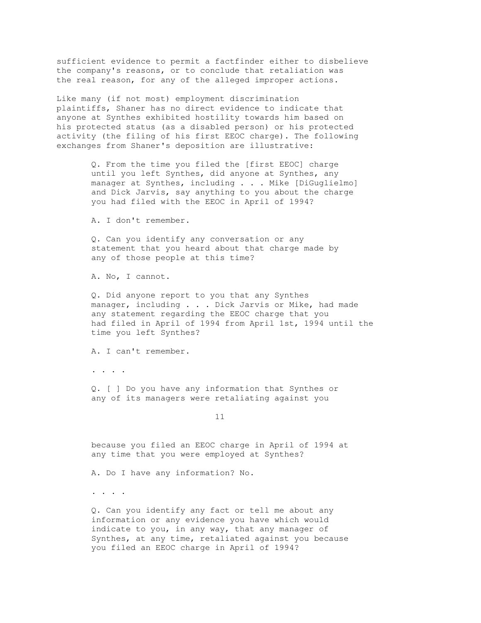sufficient evidence to permit a factfinder either to disbelieve the company's reasons, or to conclude that retaliation was the real reason, for any of the alleged improper actions.

Like many (if not most) employment discrimination plaintiffs, Shaner has no direct evidence to indicate that anyone at Synthes exhibited hostility towards him based on his protected status (as a disabled person) or his protected activity (the filing of his first EEOC charge). The following exchanges from Shaner's deposition are illustrative:

> Q. From the time you filed the [first EEOC] charge until you left Synthes, did anyone at Synthes, any manager at Synthes, including . . . Mike [DiGuglielmo] and Dick Jarvis, say anything to you about the charge you had filed with the EEOC in April of 1994?

A. I don't remember.

 Q. Can you identify any conversation or any statement that you heard about that charge made by any of those people at this time?

A. No, I cannot.

 Q. Did anyone report to you that any Synthes manager, including . . . Dick Jarvis or Mike, had made any statement regarding the EEOC charge that you had filed in April of 1994 from April 1st, 1994 until the time you left Synthes?

A. I can't remember.

. . . .

 Q. [ ] Do you have any information that Synthes or any of its managers were retaliating against you

11

 because you filed an EEOC charge in April of 1994 at any time that you were employed at Synthes?

A. Do I have any information? No.

. . . .

 Q. Can you identify any fact or tell me about any information or any evidence you have which would indicate to you, in any way, that any manager of Synthes, at any time, retaliated against you because you filed an EEOC charge in April of 1994?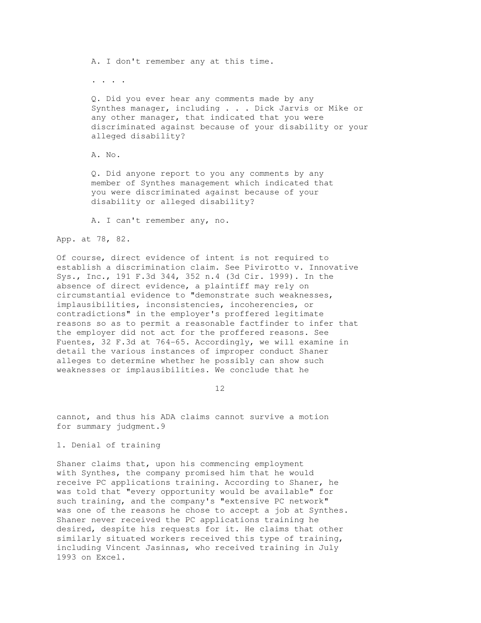A. I don't remember any at this time.

. . . .

 Q. Did you ever hear any comments made by any Synthes manager, including . . . Dick Jarvis or Mike or any other manager, that indicated that you were discriminated against because of your disability or your alleged disability?

A. No.

 Q. Did anyone report to you any comments by any member of Synthes management which indicated that you were discriminated against because of your disability or alleged disability?

A. I can't remember any, no.

App. at 78, 82.

Of course, direct evidence of intent is not required to establish a discrimination claim. See Pivirotto v. Innovative Sys., Inc., 191 F.3d 344, 352 n.4 (3d Cir. 1999). In the absence of direct evidence, a plaintiff may rely on circumstantial evidence to "demonstrate such weaknesses, implausibilities, inconsistencies, incoherencies, or contradictions" in the employer's proffered legitimate reasons so as to permit a reasonable factfinder to infer that the employer did not act for the proffered reasons. See Fuentes, 32 F.3d at 764-65. Accordingly, we will examine in detail the various instances of improper conduct Shaner alleges to determine whether he possibly can show such weaknesses or implausibilities. We conclude that he

12

cannot, and thus his ADA claims cannot survive a motion for summary judgment.9

1. Denial of training

Shaner claims that, upon his commencing employment with Synthes, the company promised him that he would receive PC applications training. According to Shaner, he was told that "every opportunity would be available" for such training, and the company's "extensive PC network" was one of the reasons he chose to accept a job at Synthes. Shaner never received the PC applications training he desired, despite his requests for it. He claims that other similarly situated workers received this type of training, including Vincent Jasinnas, who received training in July 1993 on Excel.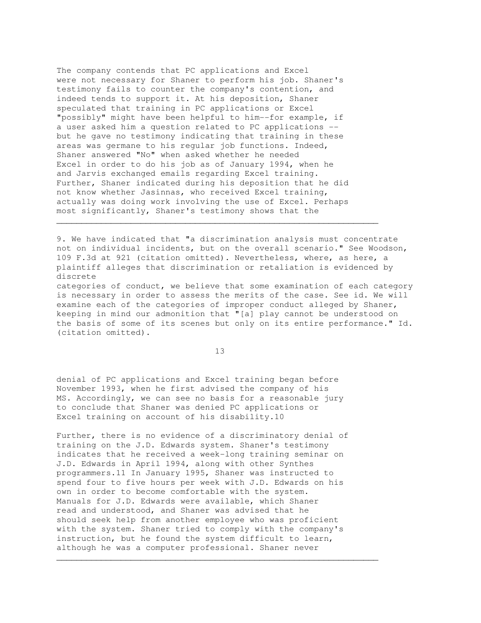The company contends that PC applications and Excel were not necessary for Shaner to perform his job. Shaner's testimony fails to counter the company's contention, and indeed tends to support it. At his deposition, Shaner speculated that training in PC applications or Excel "possibly" might have been helpful to him--for example, if a user asked him a question related to PC applications - but he gave no testimony indicating that training in these areas was germane to his regular job functions. Indeed, Shaner answered "No" when asked whether he needed Excel in order to do his job as of January 1994, when he and Jarvis exchanged emails regarding Excel training. Further, Shaner indicated during his deposition that he did not know whether Jasinnas, who received Excel training, actually was doing work involving the use of Excel. Perhaps most significantly, Shaner's testimony shows that the

9. We have indicated that "a discrimination analysis must concentrate not on individual incidents, but on the overall scenario." See Woodson, 109 F.3d at 921 (citation omitted). Nevertheless, where, as here, a plaintiff alleges that discrimination or retaliation is evidenced by discrete

 $\mathcal{L}_\mathcal{L}$  , and the set of the set of the set of the set of the set of the set of the set of the set of the set of the set of the set of the set of the set of the set of the set of the set of the set of the set of th

categories of conduct, we believe that some examination of each category is necessary in order to assess the merits of the case. See id. We will examine each of the categories of improper conduct alleged by Shaner, keeping in mind our admonition that "[a] play cannot be understood on the basis of some of its scenes but only on its entire performance." Id. (citation omitted).

13

denial of PC applications and Excel training began before November 1993, when he first advised the company of his MS. Accordingly, we can see no basis for a reasonable jury to conclude that Shaner was denied PC applications or Excel training on account of his disability.10

Further, there is no evidence of a discriminatory denial of training on the J.D. Edwards system. Shaner's testimony indicates that he received a week-long training seminar on J.D. Edwards in April 1994, along with other Synthes programmers.11 In January 1995, Shaner was instructed to spend four to five hours per week with J.D. Edwards on his own in order to become comfortable with the system. Manuals for J.D. Edwards were available, which Shaner read and understood, and Shaner was advised that he should seek help from another employee who was proficient with the system. Shaner tried to comply with the company's instruction, but he found the system difficult to learn, although he was a computer professional. Shaner never

\_\_\_\_\_\_\_\_\_\_\_\_\_\_\_\_\_\_\_\_\_\_\_\_\_\_\_\_\_\_\_\_\_\_\_\_\_\_\_\_\_\_\_\_\_\_\_\_\_\_\_\_\_\_\_\_\_\_\_\_\_\_\_\_\_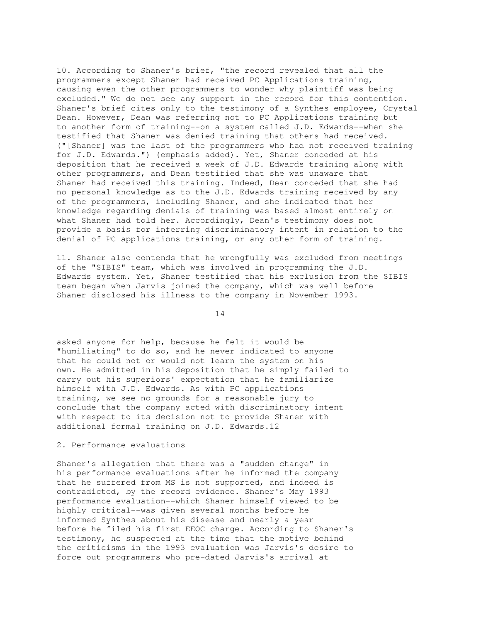10. According to Shaner's brief, "the record revealed that all the programmers except Shaner had received PC Applications training, causing even the other programmers to wonder why plaintiff was being excluded." We do not see any support in the record for this contention. Shaner's brief cites only to the testimony of a Synthes employee, Crystal Dean. However, Dean was referring not to PC Applications training but to another form of training--on a system called J.D. Edwards--when she testified that Shaner was denied training that others had received. ("[Shaner] was the last of the programmers who had not received training for J.D. Edwards.") (emphasis added). Yet, Shaner conceded at his deposition that he received a week of J.D. Edwards training along with other programmers, and Dean testified that she was unaware that Shaner had received this training. Indeed, Dean conceded that she had no personal knowledge as to the J.D. Edwards training received by any of the programmers, including Shaner, and she indicated that her knowledge regarding denials of training was based almost entirely on what Shaner had told her. Accordingly, Dean's testimony does not provide a basis for inferring discriminatory intent in relation to the denial of PC applications training, or any other form of training.

11. Shaner also contends that he wrongfully was excluded from meetings of the "SIBIS" team, which was involved in programming the J.D. Edwards system. Yet, Shaner testified that his exclusion from the SIBIS team began when Jarvis joined the company, which was well before Shaner disclosed his illness to the company in November 1993.

14

asked anyone for help, because he felt it would be "humiliating" to do so, and he never indicated to anyone that he could not or would not learn the system on his own. He admitted in his deposition that he simply failed to carry out his superiors' expectation that he familiarize himself with J.D. Edwards. As with PC applications training, we see no grounds for a reasonable jury to conclude that the company acted with discriminatory intent with respect to its decision not to provide Shaner with additional formal training on J.D. Edwards.12

# 2. Performance evaluations

Shaner's allegation that there was a "sudden change" in his performance evaluations after he informed the company that he suffered from MS is not supported, and indeed is contradicted, by the record evidence. Shaner's May 1993 performance evaluation--which Shaner himself viewed to be highly critical--was given several months before he informed Synthes about his disease and nearly a year before he filed his first EEOC charge. According to Shaner's testimony, he suspected at the time that the motive behind the criticisms in the 1993 evaluation was Jarvis's desire to force out programmers who pre-dated Jarvis's arrival at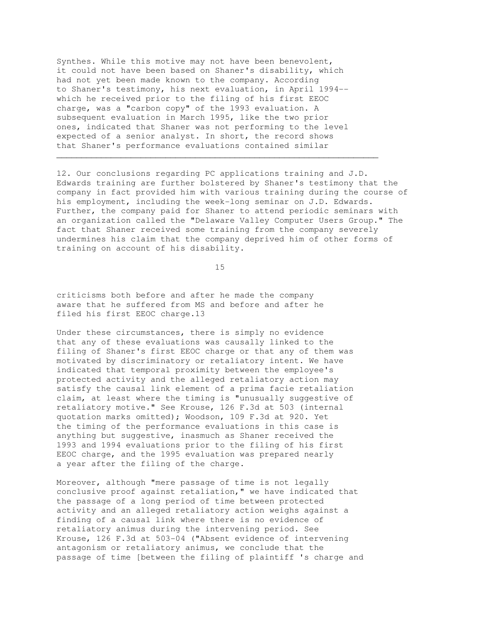Synthes. While this motive may not have been benevolent, it could not have been based on Shaner's disability, which had not yet been made known to the company. According to Shaner's testimony, his next evaluation, in April 1994- which he received prior to the filing of his first EEOC charge, was a "carbon copy" of the 1993 evaluation. A subsequent evaluation in March 1995, like the two prior ones, indicated that Shaner was not performing to the level expected of a senior analyst. In short, the record shows that Shaner's performance evaluations contained similar

12. Our conclusions regarding PC applications training and J.D. Edwards training are further bolstered by Shaner's testimony that the company in fact provided him with various training during the course of his employment, including the week-long seminar on J.D. Edwards. Further, the company paid for Shaner to attend periodic seminars with an organization called the "Delaware Valley Computer Users Group." The fact that Shaner received some training from the company severely undermines his claim that the company deprived him of other forms of training on account of his disability.

 $\mathcal{L}_\mathcal{L}$  , and the set of the set of the set of the set of the set of the set of the set of the set of the set of the set of the set of the set of the set of the set of the set of the set of the set of the set of th

15

criticisms both before and after he made the company aware that he suffered from MS and before and after he filed his first EEOC charge.13

Under these circumstances, there is simply no evidence that any of these evaluations was causally linked to the filing of Shaner's first EEOC charge or that any of them was motivated by discriminatory or retaliatory intent. We have indicated that temporal proximity between the employee's protected activity and the alleged retaliatory action may satisfy the causal link element of a prima facie retaliation claim, at least where the timing is "unusually suggestive of retaliatory motive." See Krouse, 126 F.3d at 503 (internal quotation marks omitted); Woodson, 109 F.3d at 920. Yet the timing of the performance evaluations in this case is anything but suggestive, inasmuch as Shaner received the 1993 and 1994 evaluations prior to the filing of his first EEOC charge, and the 1995 evaluation was prepared nearly a year after the filing of the charge.

Moreover, although "mere passage of time is not legally conclusive proof against retaliation," we have indicated that the passage of a long period of time between protected activity and an alleged retaliatory action weighs against a finding of a causal link where there is no evidence of retaliatory animus during the intervening period. See Krouse, 126 F.3d at 503-04 ("Absent evidence of intervening antagonism or retaliatory animus, we conclude that the passage of time [between the filing of plaintiff 's charge and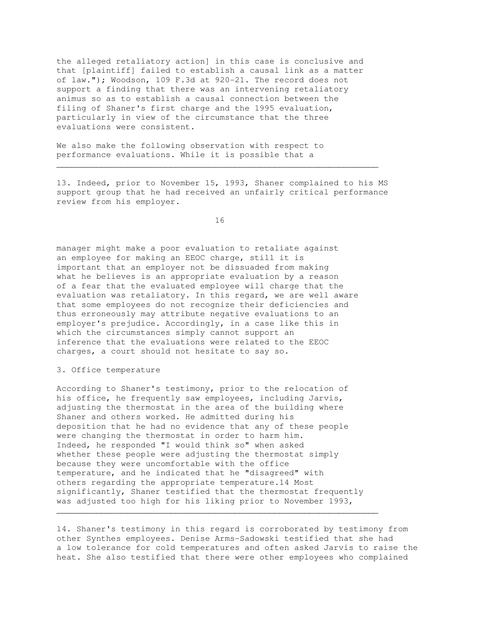the alleged retaliatory action] in this case is conclusive and that [plaintiff] failed to establish a causal link as a matter of law."); Woodson, 109 F.3d at 920-21. The record does not support a finding that there was an intervening retaliatory animus so as to establish a causal connection between the filing of Shaner's first charge and the 1995 evaluation, particularly in view of the circumstance that the three evaluations were consistent.

We also make the following observation with respect to performance evaluations. While it is possible that a

13. Indeed, prior to November 15, 1993, Shaner complained to his MS support group that he had received an unfairly critical performance review from his employer.

 $\mathcal{L}_\mathcal{L} = \{ \mathcal{L}_\mathcal{L} = \{ \mathcal{L}_\mathcal{L} = \{ \mathcal{L}_\mathcal{L} = \{ \mathcal{L}_\mathcal{L} = \{ \mathcal{L}_\mathcal{L} = \{ \mathcal{L}_\mathcal{L} = \{ \mathcal{L}_\mathcal{L} = \{ \mathcal{L}_\mathcal{L} = \{ \mathcal{L}_\mathcal{L} = \{ \mathcal{L}_\mathcal{L} = \{ \mathcal{L}_\mathcal{L} = \{ \mathcal{L}_\mathcal{L} = \{ \mathcal{L}_\mathcal{L} = \{ \mathcal{L}_\mathcal{$ 

16

manager might make a poor evaluation to retaliate against an employee for making an EEOC charge, still it is important that an employer not be dissuaded from making what he believes is an appropriate evaluation by a reason of a fear that the evaluated employee will charge that the evaluation was retaliatory. In this regard, we are well aware that some employees do not recognize their deficiencies and thus erroneously may attribute negative evaluations to an employer's prejudice. Accordingly, in a case like this in which the circumstances simply cannot support an inference that the evaluations were related to the EEOC charges, a court should not hesitate to say so.

3. Office temperature

According to Shaner's testimony, prior to the relocation of his office, he frequently saw employees, including Jarvis, adjusting the thermostat in the area of the building where Shaner and others worked. He admitted during his deposition that he had no evidence that any of these people were changing the thermostat in order to harm him. Indeed, he responded "I would think so" when asked whether these people were adjusting the thermostat simply because they were uncomfortable with the office temperature, and he indicated that he "disagreed" with others regarding the appropriate temperature.14 Most significantly, Shaner testified that the thermostat frequently was adjusted too high for his liking prior to November 1993,

 $\mathcal{L}_\mathcal{L} = \{ \mathcal{L}_\mathcal{L} = \{ \mathcal{L}_\mathcal{L} = \{ \mathcal{L}_\mathcal{L} = \{ \mathcal{L}_\mathcal{L} = \{ \mathcal{L}_\mathcal{L} = \{ \mathcal{L}_\mathcal{L} = \{ \mathcal{L}_\mathcal{L} = \{ \mathcal{L}_\mathcal{L} = \{ \mathcal{L}_\mathcal{L} = \{ \mathcal{L}_\mathcal{L} = \{ \mathcal{L}_\mathcal{L} = \{ \mathcal{L}_\mathcal{L} = \{ \mathcal{L}_\mathcal{L} = \{ \mathcal{L}_\mathcal{$ 

14. Shaner's testimony in this regard is corroborated by testimony from other Synthes employees. Denise Arms-Sadowski testified that she had a low tolerance for cold temperatures and often asked Jarvis to raise the heat. She also testified that there were other employees who complained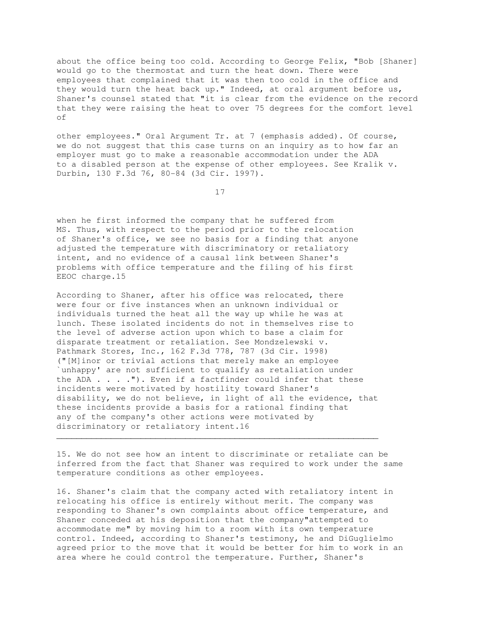about the office being too cold. According to George Felix, "Bob [Shaner] would go to the thermostat and turn the heat down. There were employees that complained that it was then too cold in the office and they would turn the heat back up." Indeed, at oral argument before us, Shaner's counsel stated that "it is clear from the evidence on the record that they were raising the heat to over 75 degrees for the comfort level of

other employees." Oral Argument Tr. at 7 (emphasis added). Of course, we do not suggest that this case turns on an inquiry as to how far an employer must go to make a reasonable accommodation under the ADA to a disabled person at the expense of other employees. See Kralik v. Durbin, 130 F.3d 76, 80-84 (3d Cir. 1997).

17

when he first informed the company that he suffered from MS. Thus, with respect to the period prior to the relocation of Shaner's office, we see no basis for a finding that anyone adjusted the temperature with discriminatory or retaliatory intent, and no evidence of a causal link between Shaner's problems with office temperature and the filing of his first EEOC charge.15

According to Shaner, after his office was relocated, there were four or five instances when an unknown individual or individuals turned the heat all the way up while he was at lunch. These isolated incidents do not in themselves rise to the level of adverse action upon which to base a claim for disparate treatment or retaliation. See Mondzelewski v. Pathmark Stores, Inc., 162 F.3d 778, 787 (3d Cir. 1998) ("[M]inor or trivial actions that merely make an employee `unhappy' are not sufficient to qualify as retaliation under the ADA  $\ldots$  ."). Even if a factfinder could infer that these incidents were motivated by hostility toward Shaner's disability, we do not believe, in light of all the evidence, that these incidents provide a basis for a rational finding that any of the company's other actions were motivated by discriminatory or retaliatory intent.16

15. We do not see how an intent to discriminate or retaliate can be inferred from the fact that Shaner was required to work under the same temperature conditions as other employees.

 $\mathcal{L}_\mathcal{L} = \{ \mathcal{L}_\mathcal{L} = \{ \mathcal{L}_\mathcal{L} = \{ \mathcal{L}_\mathcal{L} = \{ \mathcal{L}_\mathcal{L} = \{ \mathcal{L}_\mathcal{L} = \{ \mathcal{L}_\mathcal{L} = \{ \mathcal{L}_\mathcal{L} = \{ \mathcal{L}_\mathcal{L} = \{ \mathcal{L}_\mathcal{L} = \{ \mathcal{L}_\mathcal{L} = \{ \mathcal{L}_\mathcal{L} = \{ \mathcal{L}_\mathcal{L} = \{ \mathcal{L}_\mathcal{L} = \{ \mathcal{L}_\mathcal{$ 

16. Shaner's claim that the company acted with retaliatory intent in relocating his office is entirely without merit. The company was responding to Shaner's own complaints about office temperature, and Shaner conceded at his deposition that the company"attempted to accommodate me" by moving him to a room with its own temperature control. Indeed, according to Shaner's testimony, he and DiGuglielmo agreed prior to the move that it would be better for him to work in an area where he could control the temperature. Further, Shaner's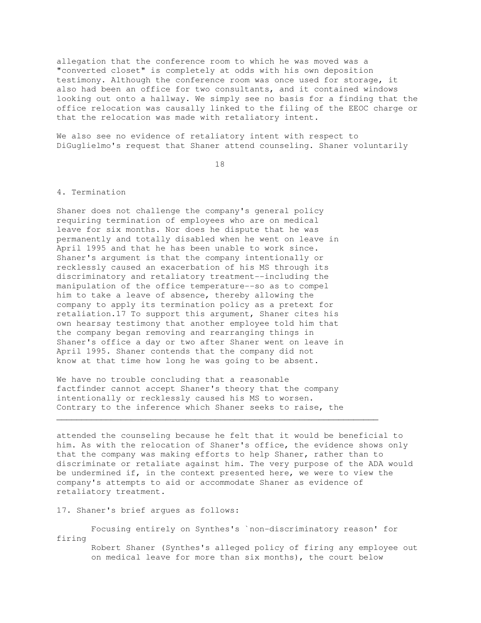allegation that the conference room to which he was moved was a "converted closet" is completely at odds with his own deposition testimony. Although the conference room was once used for storage, it also had been an office for two consultants, and it contained windows looking out onto a hallway. We simply see no basis for a finding that the office relocation was causally linked to the filing of the EEOC charge or that the relocation was made with retaliatory intent.

We also see no evidence of retaliatory intent with respect to DiGuglielmo's request that Shaner attend counseling. Shaner voluntarily

18

# 4. Termination

Shaner does not challenge the company's general policy requiring termination of employees who are on medical leave for six months. Nor does he dispute that he was permanently and totally disabled when he went on leave in April 1995 and that he has been unable to work since. Shaner's argument is that the company intentionally or recklessly caused an exacerbation of his MS through its discriminatory and retaliatory treatment--including the manipulation of the office temperature--so as to compel him to take a leave of absence, thereby allowing the company to apply its termination policy as a pretext for retaliation.17 To support this argument, Shaner cites his own hearsay testimony that another employee told him that the company began removing and rearranging things in Shaner's office a day or two after Shaner went on leave in April 1995. Shaner contends that the company did not know at that time how long he was going to be absent.

We have no trouble concluding that a reasonable factfinder cannot accept Shaner's theory that the company intentionally or recklessly caused his MS to worsen. Contrary to the inference which Shaner seeks to raise, the

 $\mathcal{L}_\mathcal{L}$  , and the set of the set of the set of the set of the set of the set of the set of the set of the set of the set of the set of the set of the set of the set of the set of the set of the set of the set of th

attended the counseling because he felt that it would be beneficial to him. As with the relocation of Shaner's office, the evidence shows only that the company was making efforts to help Shaner, rather than to discriminate or retaliate against him. The very purpose of the ADA would be undermined if, in the context presented here, we were to view the company's attempts to aid or accommodate Shaner as evidence of retaliatory treatment.

17. Shaner's brief argues as follows:

 Focusing entirely on Synthes's `non-discriminatory reason' for firing Robert Shaner (Synthes's alleged policy of firing any employee out on medical leave for more than six months), the court below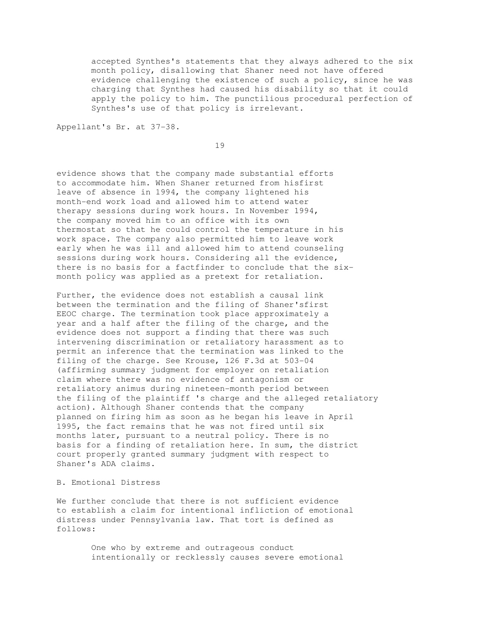accepted Synthes's statements that they always adhered to the six month policy, disallowing that Shaner need not have offered evidence challenging the existence of such a policy, since he was charging that Synthes had caused his disability so that it could apply the policy to him. The punctilious procedural perfection of Synthes's use of that policy is irrelevant.

Appellant's Br. at 37-38.

19

evidence shows that the company made substantial efforts to accommodate him. When Shaner returned from hisfirst leave of absence in 1994, the company lightened his month-end work load and allowed him to attend water therapy sessions during work hours. In November 1994, the company moved him to an office with its own thermostat so that he could control the temperature in his work space. The company also permitted him to leave work early when he was ill and allowed him to attend counseling sessions during work hours. Considering all the evidence, there is no basis for a factfinder to conclude that the sixmonth policy was applied as a pretext for retaliation.

Further, the evidence does not establish a causal link between the termination and the filing of Shaner'sfirst EEOC charge. The termination took place approximately a year and a half after the filing of the charge, and the evidence does not support a finding that there was such intervening discrimination or retaliatory harassment as to permit an inference that the termination was linked to the filing of the charge. See Krouse, 126 F.3d at 503-04 (affirming summary judgment for employer on retaliation claim where there was no evidence of antagonism or retaliatory animus during nineteen-month period between the filing of the plaintiff 's charge and the alleged retaliatory action). Although Shaner contends that the company planned on firing him as soon as he began his leave in April 1995, the fact remains that he was not fired until six months later, pursuant to a neutral policy. There is no basis for a finding of retaliation here. In sum, the district court properly granted summary judgment with respect to Shaner's ADA claims.

# B. Emotional Distress

We further conclude that there is not sufficient evidence to establish a claim for intentional infliction of emotional distress under Pennsylvania law. That tort is defined as follows:

> One who by extreme and outrageous conduct intentionally or recklessly causes severe emotional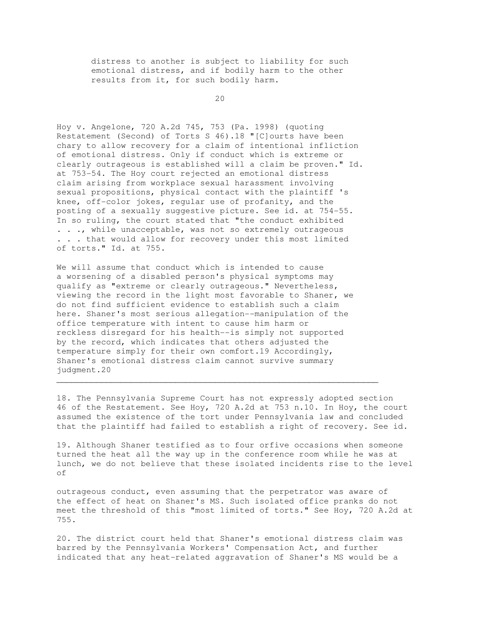distress to another is subject to liability for such emotional distress, and if bodily harm to the other results from it, for such bodily harm.

20

Hoy v. Angelone, 720 A.2d 745, 753 (Pa. 1998) (quoting Restatement (Second) of Torts S 46).18 "[C]ourts have been chary to allow recovery for a claim of intentional infliction of emotional distress. Only if conduct which is extreme or clearly outrageous is established will a claim be proven." Id. at 753-54. The Hoy court rejected an emotional distress claim arising from workplace sexual harassment involving sexual propositions, physical contact with the plaintiff 's knee, off-color jokes, regular use of profanity, and the posting of a sexually suggestive picture. See id. at 754-55. In so ruling, the court stated that "the conduct exhibited . . ., while unacceptable, was not so extremely outrageous . . . that would allow for recovery under this most limited of torts." Id. at 755.

We will assume that conduct which is intended to cause a worsening of a disabled person's physical symptoms may qualify as "extreme or clearly outrageous." Nevertheless, viewing the record in the light most favorable to Shaner, we do not find sufficient evidence to establish such a claim here. Shaner's most serious allegation--manipulation of the office temperature with intent to cause him harm or reckless disregard for his health--is simply not supported by the record, which indicates that others adjusted the temperature simply for their own comfort.19 Accordingly, Shaner's emotional distress claim cannot survive summary judgment.20

18. The Pennsylvania Supreme Court has not expressly adopted section 46 of the Restatement. See Hoy, 720 A.2d at 753 n.10. In Hoy, the court assumed the existence of the tort under Pennsylvania law and concluded that the plaintiff had failed to establish a right of recovery. See id.

 $\mathcal{L}_\mathcal{L}$  , and the set of the set of the set of the set of the set of the set of the set of the set of the set of the set of the set of the set of the set of the set of the set of the set of the set of the set of th

19. Although Shaner testified as to four orfive occasions when someone turned the heat all the way up in the conference room while he was at lunch, we do not believe that these isolated incidents rise to the level of

outrageous conduct, even assuming that the perpetrator was aware of the effect of heat on Shaner's MS. Such isolated office pranks do not meet the threshold of this "most limited of torts." See Hoy, 720 A.2d at 755.

20. The district court held that Shaner's emotional distress claim was barred by the Pennsylvania Workers' Compensation Act, and further indicated that any heat-related aggravation of Shaner's MS would be a